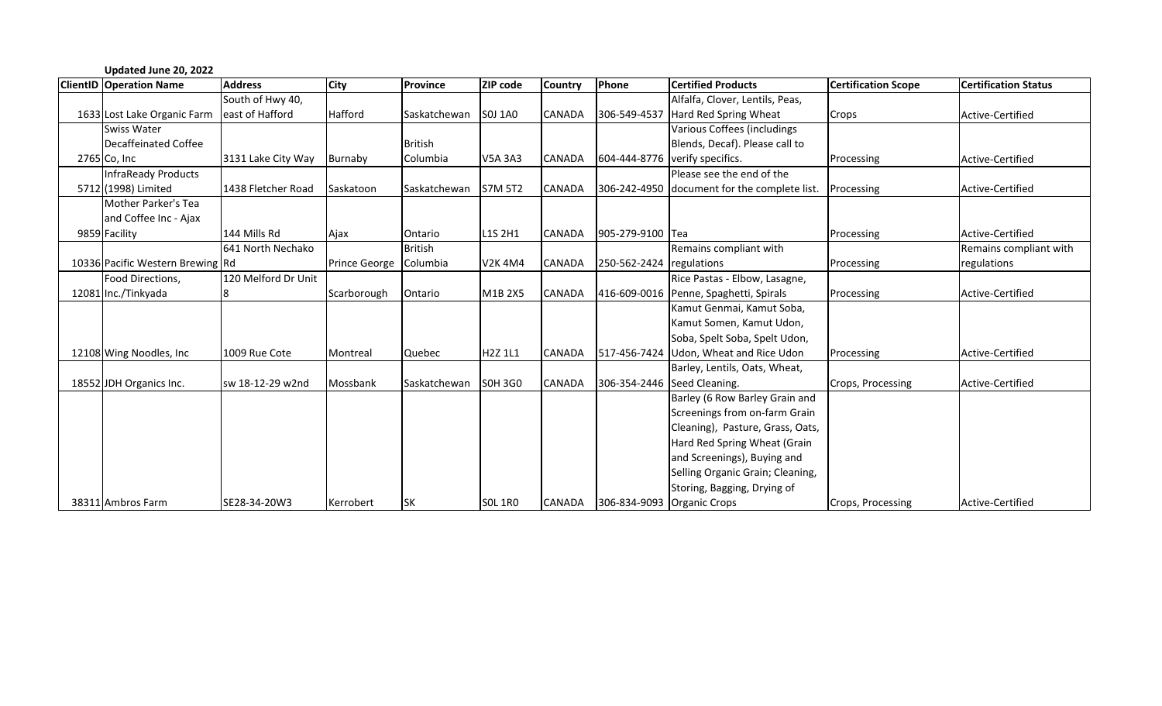| Updated June 20, 2022            |                     |                        |                 |                |                |                                |                                              |                            |                             |
|----------------------------------|---------------------|------------------------|-----------------|----------------|----------------|--------------------------------|----------------------------------------------|----------------------------|-----------------------------|
| <b>ClientID Operation Name</b>   | <b>Address</b>      | <b>City</b>            | <b>Province</b> | ZIP code       | <b>Country</b> | Phone                          | <b>Certified Products</b>                    | <b>Certification Scope</b> | <b>Certification Status</b> |
|                                  | South of Hwy 40,    |                        |                 |                |                |                                | Alfalfa, Clover, Lentils, Peas,              |                            |                             |
| 1633 Lost Lake Organic Farm      | east of Hafford     | <b>Hafford</b>         | Saskatchewan    | <b>SOJ 1A0</b> | <b>CANADA</b>  | 306-549-4537                   | Hard Red Spring Wheat                        | Crops                      | Active-Certified            |
| <b>Swiss Water</b>               |                     |                        |                 |                |                |                                | Various Coffees (includings                  |                            |                             |
| Decaffeinated Coffee             |                     |                        | <b>British</b>  |                |                |                                | Blends, Decaf). Please call to               |                            |                             |
| 2765 Co, Inc.                    | 3131 Lake City Way  | Burnaby                | Columbia        | <b>V5A 3A3</b> | <b>CANADA</b>  | 604-444-8776 verify specifics. |                                              | Processing                 | Active-Certified            |
| InfraReady Products              |                     |                        |                 |                |                |                                | Please see the end of the                    |                            |                             |
| 5712 (1998) Limited              | 1438 Fletcher Road  | Saskatoon              | Saskatchewan    | <b>S7M 5T2</b> | <b>CANADA</b>  |                                | 306-242-4950 document for the complete list. | Processing                 | Active-Certified            |
| Mother Parker's Tea              |                     |                        |                 |                |                |                                |                                              |                            |                             |
| and Coffee Inc - Ajax            |                     |                        |                 |                |                |                                |                                              |                            |                             |
| 9859 Facility                    | 144 Mills Rd        | Ajax                   | Ontario         | L1S 2H1        | <b>CANADA</b>  | 905-279-9100 Tea               |                                              | Processing                 | Active-Certified            |
|                                  | 641 North Nechako   |                        | <b>British</b>  |                |                |                                | Remains compliant with                       |                            | Remains compliant with      |
| 10336 Pacific Western Brewing Rd |                     | Prince George Columbia |                 | <b>V2K4M4</b>  | <b>CANADA</b>  | 250-562-2424 regulations       |                                              | Processing                 | regulations                 |
| Food Directions,                 | 120 Melford Dr Unit |                        |                 |                |                |                                | Rice Pastas - Elbow, Lasagne,                |                            |                             |
| 12081 Inc./Tinkyada              | 18                  | Scarborough            | Ontario         | M1B 2X5        | <b>CANADA</b>  |                                | 416-609-0016 Penne, Spaghetti, Spirals       | Processing                 | Active-Certified            |
|                                  |                     |                        |                 |                |                |                                | Kamut Genmai, Kamut Soba,                    |                            |                             |
|                                  |                     |                        |                 |                |                |                                | Kamut Somen, Kamut Udon,                     |                            |                             |
|                                  |                     |                        |                 |                |                |                                | Soba, Spelt Soba, Spelt Udon,                |                            |                             |
| 12108 Wing Noodles, Inc.         | 1009 Rue Cote       | Montreal               | <b>Quebec</b>   | H2Z 1L1        | <b>CANADA</b>  |                                | 517-456-7424 Udon, Wheat and Rice Udon       | Processing                 | Active-Certified            |
|                                  |                     |                        |                 |                |                |                                | Barley, Lentils, Oats, Wheat,                |                            |                             |
| 18552 JDH Organics Inc.          | sw 18-12-29 w2nd    | Mossbank               | Saskatchewan    | <b>SOH 3GO</b> | <b>CANADA</b>  | 306-354-2446 Seed Cleaning.    |                                              | Crops, Processing          | Active-Certified            |
|                                  |                     |                        |                 |                |                |                                | Barley (6 Row Barley Grain and               |                            |                             |
|                                  |                     |                        |                 |                |                |                                | Screenings from on-farm Grain                |                            |                             |
|                                  |                     |                        |                 |                |                |                                | Cleaning), Pasture, Grass, Oats,             |                            |                             |
|                                  |                     |                        |                 |                |                |                                | Hard Red Spring Wheat (Grain                 |                            |                             |
|                                  |                     |                        |                 |                |                |                                | and Screenings), Buying and                  |                            |                             |
|                                  |                     |                        |                 |                |                |                                | Selling Organic Grain; Cleaning,             |                            |                             |
|                                  |                     |                        |                 |                |                |                                | Storing, Bagging, Drying of                  |                            |                             |
| 38311 Ambros Farm                | SE28-34-20W3        | Kerrobert              | <b>SK</b>       | <b>SOL 1RO</b> | <b>CANADA</b>  | 306-834-9093 Organic Crops     |                                              | Crops, Processing          | Active-Certified            |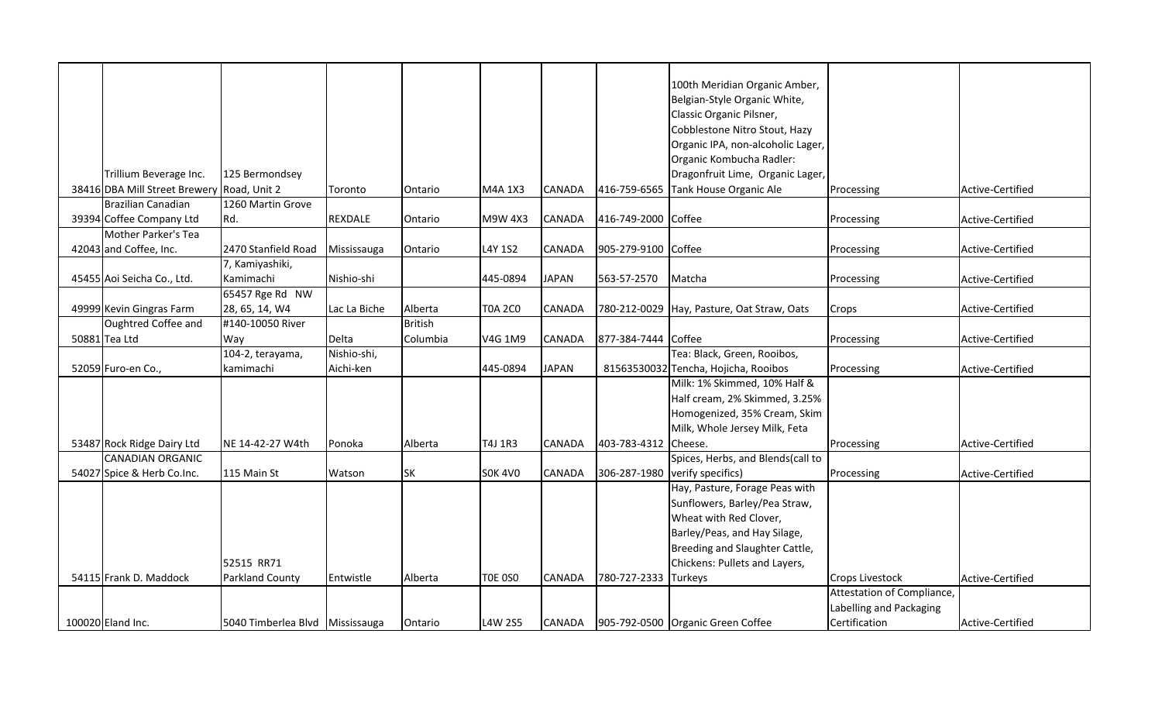|                                            |                                 |              |                |                |               |                     | 100th Meridian Organic Amber,              |                            |                  |
|--------------------------------------------|---------------------------------|--------------|----------------|----------------|---------------|---------------------|--------------------------------------------|----------------------------|------------------|
|                                            |                                 |              |                |                |               |                     | Belgian-Style Organic White,               |                            |                  |
|                                            |                                 |              |                |                |               |                     | Classic Organic Pilsner,                   |                            |                  |
|                                            |                                 |              |                |                |               |                     | Cobblestone Nitro Stout, Hazy              |                            |                  |
|                                            |                                 |              |                |                |               |                     |                                            |                            |                  |
|                                            |                                 |              |                |                |               |                     | Organic IPA, non-alcoholic Lager,          |                            |                  |
|                                            |                                 |              |                |                |               |                     | Organic Kombucha Radler:                   |                            |                  |
| Trillium Beverage Inc.                     | 125 Bermondsey                  |              |                |                |               |                     | Dragonfruit Lime, Organic Lager,           |                            |                  |
| 38416 DBA Mill Street Brewery Road, Unit 2 |                                 | Toronto      | Ontario        | M4A 1X3        | <b>CANADA</b> | 416-759-6565        | Tank House Organic Ale                     | Processing                 | Active-Certified |
| Brazilian Canadian                         | 1260 Martin Grove               |              |                |                |               |                     |                                            |                            |                  |
| 39394 Coffee Company Ltd                   | Rd.                             | REXDALE      | Ontario        | M9W 4X3        | <b>CANADA</b> | 416-749-2000 Coffee |                                            | Processing                 | Active-Certified |
| Mother Parker's Tea                        |                                 |              |                |                |               |                     |                                            |                            |                  |
| 42043 and Coffee, Inc.                     | 2470 Stanfield Road             | Mississauga  | Ontario        | L4Y 1S2        | <b>CANADA</b> | 905-279-9100 Coffee |                                            | Processing                 | Active-Certified |
|                                            | 7, Kamiyashiki,                 |              |                |                |               |                     |                                            |                            |                  |
| 45455 Aoi Seicha Co., Ltd.                 | Kamimachi                       | Nishio-shi   |                | 445-0894       | <b>JAPAN</b>  | 563-57-2570         | Matcha                                     | Processing                 | Active-Certified |
|                                            | 65457 Rge Rd NW                 |              |                |                |               |                     |                                            |                            |                  |
| 49999 Kevin Gingras Farm                   | 28, 65, 14, W4                  | Lac La Biche | Alberta        | <b>T0A 2C0</b> | <b>CANADA</b> |                     | 780-212-0029 Hay, Pasture, Oat Straw, Oats | Crops                      | Active-Certified |
| Oughtred Coffee and                        | #140-10050 River                |              | <b>British</b> |                |               |                     |                                            |                            |                  |
| 50881 Tea Ltd                              | Way                             | Delta        | Columbia       | V4G 1M9        | <b>CANADA</b> | 877-384-7444 Coffee |                                            | Processing                 | Active-Certified |
|                                            | 104-2, terayama,                | Nishio-shi,  |                |                |               |                     | Tea: Black, Green, Rooibos,                |                            |                  |
| 52059 Furo-en Co.,                         | kamimachi                       | Aichi-ken    |                | 445-0894       | <b>JAPAN</b>  |                     | 81563530032 Tencha, Hojicha, Rooibos       | Processing                 | Active-Certified |
|                                            |                                 |              |                |                |               |                     | Milk: 1% Skimmed, 10% Half &               |                            |                  |
|                                            |                                 |              |                |                |               |                     | Half cream, 2% Skimmed, 3.25%              |                            |                  |
|                                            |                                 |              |                |                |               |                     | Homogenized, 35% Cream, Skim               |                            |                  |
|                                            |                                 |              |                |                |               |                     | Milk, Whole Jersey Milk, Feta              |                            |                  |
| 53487 Rock Ridge Dairy Ltd                 | NE 14-42-27 W4th                | Ponoka       | Alberta        | T4J 1R3        | CANADA        | 403-783-4312        | Cheese.                                    | Processing                 | Active-Certified |
| <b>CANADIAN ORGANIC</b>                    |                                 |              |                |                |               |                     | Spices, Herbs, and Blends(call to          |                            |                  |
| 54027 Spice & Herb Co.Inc.                 | 115 Main St                     | Watson       | <b>SK</b>      | <b>SOK 4VO</b> | <b>CANADA</b> | 306-287-1980        | verify specifics)                          | Processing                 | Active-Certified |
|                                            |                                 |              |                |                |               |                     | Hay, Pasture, Forage Peas with             |                            |                  |
|                                            |                                 |              |                |                |               |                     | Sunflowers, Barley/Pea Straw,              |                            |                  |
|                                            |                                 |              |                |                |               |                     | Wheat with Red Clover,                     |                            |                  |
|                                            |                                 |              |                |                |               |                     | Barley/Peas, and Hay Silage,               |                            |                  |
|                                            |                                 |              |                |                |               |                     | Breeding and Slaughter Cattle,             |                            |                  |
|                                            | 52515 RR71                      |              |                |                |               |                     | Chickens: Pullets and Layers,              |                            |                  |
| 54115 Frank D. Maddock                     | <b>Parkland County</b>          | Entwistle    | Alberta        | <b>TOE 0S0</b> | <b>CANADA</b> | 780-727-2333        | <b>Turkeys</b>                             | <b>Crops Livestock</b>     | Active-Certified |
|                                            |                                 |              |                |                |               |                     |                                            | Attestation of Compliance, |                  |
|                                            |                                 |              |                |                |               |                     |                                            | Labelling and Packaging    |                  |
| 100020 Eland Inc.                          | 5040 Timberlea Blvd Mississauga |              | Ontario        | L4W 2S5        | <b>CANADA</b> |                     | 905-792-0500 Organic Green Coffee          | Certification              | Active-Certified |
|                                            |                                 |              |                |                |               |                     |                                            |                            |                  |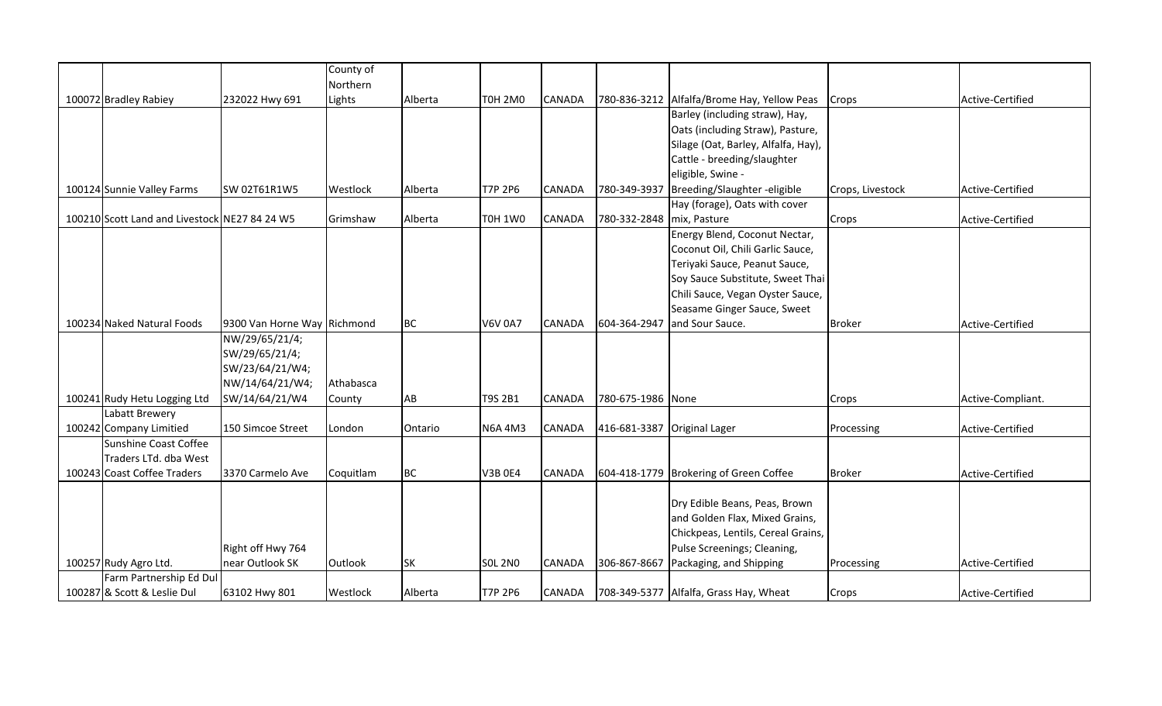|                                               |                             | County of |           |                |               |                             |                                             |                  |                   |
|-----------------------------------------------|-----------------------------|-----------|-----------|----------------|---------------|-----------------------------|---------------------------------------------|------------------|-------------------|
|                                               |                             | Northern  |           |                |               |                             |                                             |                  |                   |
| 100072 Bradley Rabiey                         | 232022 Hwy 691              | Lights    | Alberta   | <b>T0H 2M0</b> | <b>CANADA</b> |                             | 780-836-3212 Alfalfa/Brome Hay, Yellow Peas | Crops            | Active-Certified  |
|                                               |                             |           |           |                |               |                             | Barley (including straw), Hay,              |                  |                   |
|                                               |                             |           |           |                |               |                             | Oats (including Straw), Pasture,            |                  |                   |
|                                               |                             |           |           |                |               |                             | Silage (Oat, Barley, Alfalfa, Hay),         |                  |                   |
|                                               |                             |           |           |                |               |                             | Cattle - breeding/slaughter                 |                  |                   |
|                                               |                             |           |           |                |               |                             | eligible, Swine -                           |                  |                   |
| 100124 Sunnie Valley Farms                    | SW 02T61R1W5                | Westlock  | Alberta   | T7P 2P6        | <b>CANADA</b> | 780-349-3937                | Breeding/Slaughter - eligible               | Crops, Livestock | Active-Certified  |
|                                               |                             |           |           |                |               |                             | Hay (forage), Oats with cover               |                  |                   |
| 100210 Scott Land and Livestock NE27 84 24 W5 |                             | Grimshaw  | Alberta   | <b>T0H 1W0</b> | <b>CANADA</b> | 780-332-2848 mix, Pasture   |                                             | Crops            | Active-Certified  |
|                                               |                             |           |           |                |               |                             | Energy Blend, Coconut Nectar,               |                  |                   |
|                                               |                             |           |           |                |               |                             | Coconut Oil, Chili Garlic Sauce,            |                  |                   |
|                                               |                             |           |           |                |               |                             | Teriyaki Sauce, Peanut Sauce,               |                  |                   |
|                                               |                             |           |           |                |               |                             | Soy Sauce Substitute, Sweet Thai            |                  |                   |
|                                               |                             |           |           |                |               |                             | Chili Sauce, Vegan Oyster Sauce,            |                  |                   |
|                                               |                             |           |           |                |               |                             | Seasame Ginger Sauce, Sweet                 |                  |                   |
| 100234 Naked Natural Foods                    | 9300 Van Horne Way Richmond |           | <b>BC</b> | <b>V6V 0A7</b> | <b>CANADA</b> | 604-364-2947                | and Sour Sauce.                             | <b>Broker</b>    | Active-Certified  |
|                                               | NW/29/65/21/4;              |           |           |                |               |                             |                                             |                  |                   |
|                                               | SW/29/65/21/4;              |           |           |                |               |                             |                                             |                  |                   |
|                                               | SW/23/64/21/W4;             |           |           |                |               |                             |                                             |                  |                   |
|                                               | NW/14/64/21/W4;             | Athabasca |           |                |               |                             |                                             |                  |                   |
| 100241 Rudy Hetu Logging Ltd                  | SW/14/64/21/W4              | County    | AB        | <b>T9S 2B1</b> | <b>CANADA</b> | 780-675-1986 None           |                                             | Crops            | Active-Compliant. |
| Labatt Brewery                                |                             |           |           |                |               |                             |                                             |                  |                   |
| 100242 Company Limitied                       | 150 Simcoe Street           | London    | Ontario   | <b>N6A 4M3</b> | <b>CANADA</b> | 416-681-3387 Original Lager |                                             | Processing       | Active-Certified  |
| Sunshine Coast Coffee                         |                             |           |           |                |               |                             |                                             |                  |                   |
| Traders LTd. dba West                         |                             |           |           |                |               |                             |                                             |                  |                   |
| 100243 Coast Coffee Traders                   | 3370 Carmelo Ave            | Coquitlam | <b>BC</b> | <b>V3B 0E4</b> | <b>CANADA</b> |                             | 604-418-1779 Brokering of Green Coffee      | <b>Broker</b>    | Active-Certified  |
|                                               |                             |           |           |                |               |                             |                                             |                  |                   |
|                                               |                             |           |           |                |               |                             | Dry Edible Beans, Peas, Brown               |                  |                   |
|                                               |                             |           |           |                |               |                             | and Golden Flax, Mixed Grains,              |                  |                   |
|                                               |                             |           |           |                |               |                             | Chickpeas, Lentils, Cereal Grains,          |                  |                   |
|                                               | Right off Hwy 764           |           |           |                |               |                             | Pulse Screenings; Cleaning,                 |                  |                   |
| 100257 Rudy Agro Ltd.                         | near Outlook SK             | Outlook   | <b>SK</b> | <b>SOL 2NO</b> | <b>CANADA</b> | 306-867-8667                | Packaging, and Shipping                     | Processing       | Active-Certified  |
| Farm Partnership Ed Dul                       |                             |           |           |                |               |                             |                                             |                  |                   |
| 100287 & Scott & Leslie Dul                   | 63102 Hwy 801               | Westlock  | Alberta   | <b>T7P 2P6</b> | <b>CANADA</b> |                             | 708-349-5377 Alfalfa, Grass Hay, Wheat      | Crops            | Active-Certified  |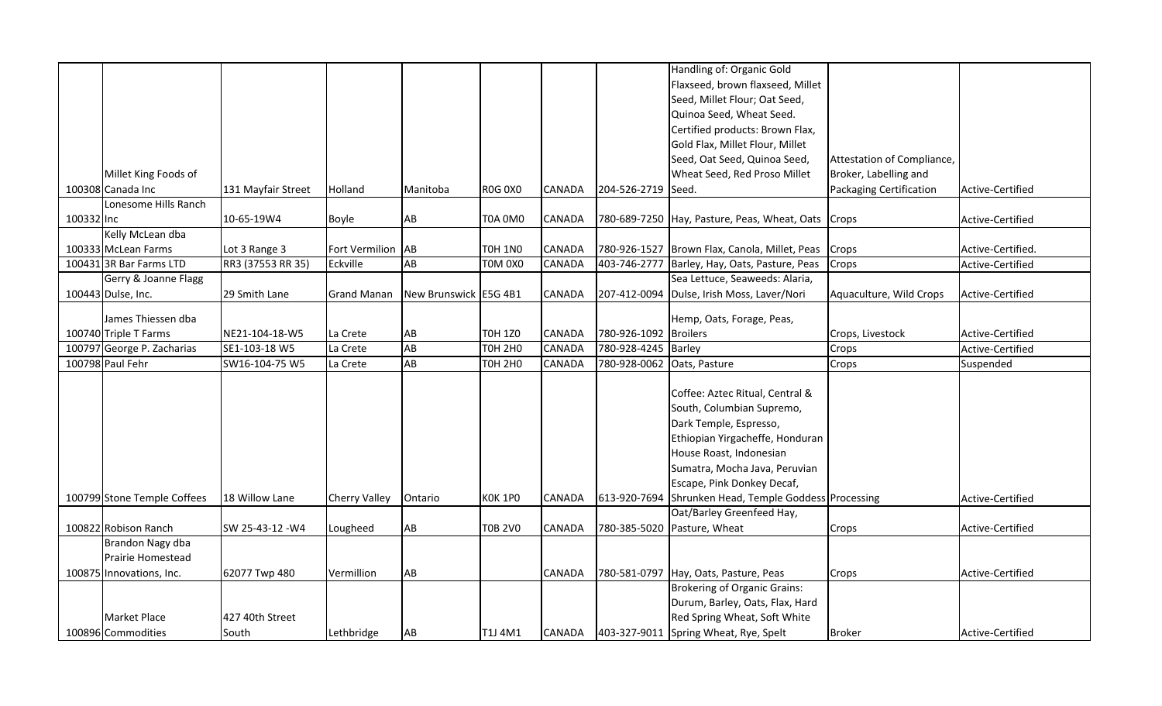|            |                             |                    |                      |                       |                |               |                    | Handling of: Organic Gold                          |                            |                   |
|------------|-----------------------------|--------------------|----------------------|-----------------------|----------------|---------------|--------------------|----------------------------------------------------|----------------------------|-------------------|
|            |                             |                    |                      |                       |                |               |                    | Flaxseed, brown flaxseed, Millet                   |                            |                   |
|            |                             |                    |                      |                       |                |               |                    | Seed, Millet Flour; Oat Seed,                      |                            |                   |
|            |                             |                    |                      |                       |                |               |                    | Quinoa Seed, Wheat Seed.                           |                            |                   |
|            |                             |                    |                      |                       |                |               |                    | Certified products: Brown Flax,                    |                            |                   |
|            |                             |                    |                      |                       |                |               |                    | Gold Flax, Millet Flour, Millet                    |                            |                   |
|            |                             |                    |                      |                       |                |               |                    | Seed, Oat Seed, Quinoa Seed,                       | Attestation of Compliance, |                   |
|            | Millet King Foods of        |                    |                      |                       |                |               |                    | Wheat Seed, Red Proso Millet                       | Broker, Labelling and      |                   |
|            | 100308 Canada Inc           | 131 Mayfair Street | Holland              | Manitoba              | <b>ROG 0X0</b> | <b>CANADA</b> | 204-526-2719 Seed. |                                                    | Packaging Certification    | Active-Certified  |
|            | Lonesome Hills Ranch        |                    |                      |                       |                |               |                    |                                                    |                            |                   |
| 100332 Inc |                             | 10-65-19W4         | Boyle                | AB                    | <b>T0A 0M0</b> | <b>CANADA</b> |                    | 780-689-7250 Hay, Pasture, Peas, Wheat, Oats Crops |                            | Active-Certified  |
|            | Kelly McLean dba            |                    |                      |                       |                |               |                    |                                                    |                            |                   |
|            | 100333 McLean Farms         | Lot 3 Range 3      | Fort Vermilion AB    |                       | <b>TOH 1NO</b> | <b>CANADA</b> | 780-926-1527       | Brown Flax, Canola, Millet, Peas                   | Crops                      | Active-Certified. |
|            | 100431 3R Bar Farms LTD     | RR3 (37553 RR 35)  | Eckville             | AB                    | TOM 0X0        | <b>CANADA</b> | 403-746-2777       | Barley, Hay, Oats, Pasture, Peas                   | Crops                      | Active-Certified  |
|            | Gerry & Joanne Flagg        |                    |                      |                       |                |               |                    | Sea Lettuce, Seaweeds: Alaria,                     |                            |                   |
|            | 100443 Dulse, Inc.          | 29 Smith Lane      | <b>Grand Manan</b>   | New Brunswick E5G 4B1 |                | <b>CANADA</b> | 207-412-0094       | Dulse, Irish Moss, Laver/Nori                      | Aquaculture, Wild Crops    | Active-Certified  |
|            |                             |                    |                      |                       |                |               |                    |                                                    |                            |                   |
|            | James Thiessen dba          |                    |                      |                       |                |               |                    | Hemp, Oats, Forage, Peas,                          |                            |                   |
|            | 100740 Triple T Farms       | NE21-104-18-W5     | La Crete             | AB                    | <b>TOH 1Z0</b> | <b>CANADA</b> | 780-926-1092       | <b>Broilers</b>                                    | Crops, Livestock           | Active-Certified  |
|            | 100797 George P. Zacharias  | SE1-103-18 W5      | La Crete             | AB                    | <b>TOH 2H0</b> | CANADA        | 780-928-4245       | <b>Barley</b>                                      | Crops                      | Active-Certified  |
|            | 100798 Paul Fehr            | SW16-104-75 W5     | La Crete             | AB                    | <b>TOH 2HO</b> | <b>CANADA</b> | 780-928-0062       | Oats, Pasture                                      | Crops                      | Suspended         |
|            |                             |                    |                      |                       |                |               |                    |                                                    |                            |                   |
|            |                             |                    |                      |                       |                |               |                    | Coffee: Aztec Ritual, Central &                    |                            |                   |
|            |                             |                    |                      |                       |                |               |                    | South, Columbian Supremo,                          |                            |                   |
|            |                             |                    |                      |                       |                |               |                    | Dark Temple, Espresso,                             |                            |                   |
|            |                             |                    |                      |                       |                |               |                    | Ethiopian Yirgacheffe, Honduran                    |                            |                   |
|            |                             |                    |                      |                       |                |               |                    | House Roast, Indonesian                            |                            |                   |
|            |                             |                    |                      |                       |                |               |                    | Sumatra, Mocha Java, Peruvian                      |                            |                   |
|            |                             |                    |                      |                       |                |               |                    | Escape, Pink Donkey Decaf,                         |                            |                   |
|            | 100799 Stone Temple Coffees | 18 Willow Lane     | <b>Cherry Valley</b> | Ontario               | <b>KOK 1PO</b> | <b>CANADA</b> | 613-920-7694       | Shrunken Head, Temple Goddess Processing           |                            | Active-Certified  |
|            |                             |                    |                      |                       |                |               |                    | Oat/Barley Greenfeed Hay,                          |                            |                   |
|            | 100822 Robison Ranch        | SW 25-43-12 -W4    | Lougheed             | AB                    | <b>T0B 2V0</b> | <b>CANADA</b> | 780-385-5020       | Pasture, Wheat                                     | Crops                      | Active-Certified  |
|            | Brandon Nagy dba            |                    |                      |                       |                |               |                    |                                                    |                            |                   |
|            | Prairie Homestead           |                    |                      |                       |                |               |                    |                                                    |                            |                   |
|            | 100875 Innovations, Inc.    | 62077 Twp 480      | Vermillion           | AB                    |                | <b>CANADA</b> |                    | 780-581-0797 Hay, Oats, Pasture, Peas              | Crops                      | Active-Certified  |
|            |                             |                    |                      |                       |                |               |                    | <b>Brokering of Organic Grains:</b>                |                            |                   |
|            |                             |                    |                      |                       |                |               |                    | Durum, Barley, Oats, Flax, Hard                    |                            |                   |
|            | Market Place                | 427 40th Street    |                      |                       |                |               |                    | Red Spring Wheat, Soft White                       |                            |                   |
|            | 100896 Commodities          | South              | Lethbridge           | AB                    | T1J 4M1        | CANADA        | 403-327-9011       | Spring Wheat, Rye, Spelt                           | <b>Broker</b>              | Active-Certified  |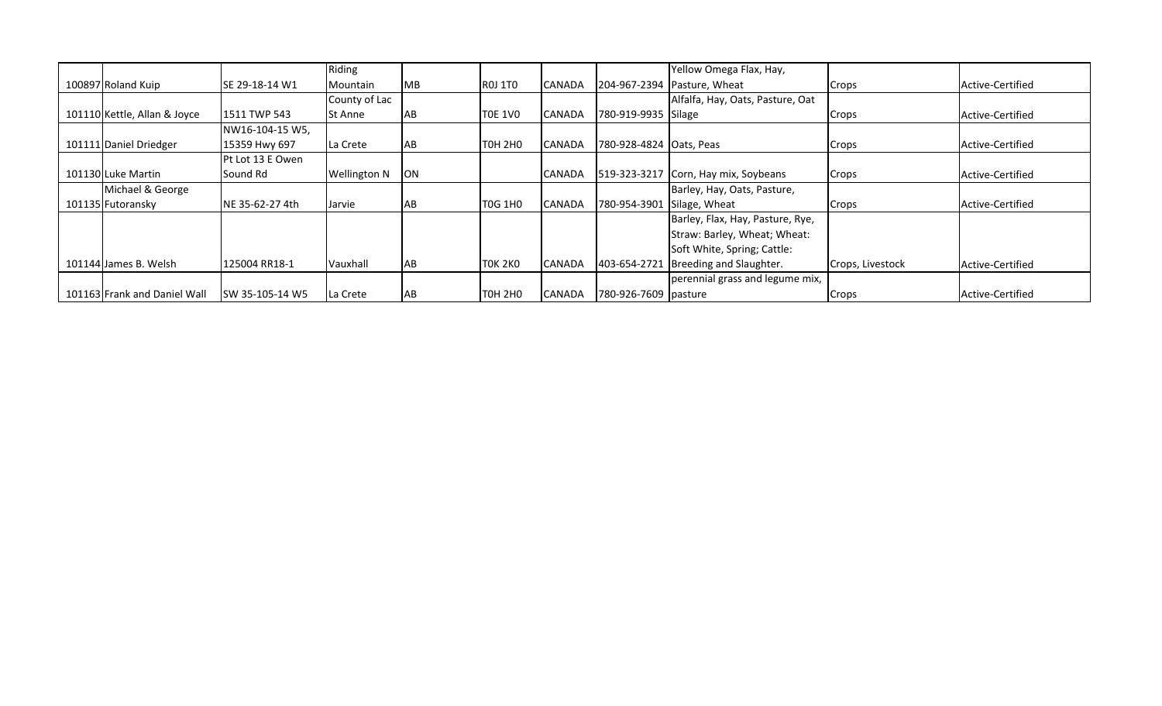|                              |                  | Riding              |            |                    |               |                         | Yellow Omega Flax, Hay,              |                  |                  |
|------------------------------|------------------|---------------------|------------|--------------------|---------------|-------------------------|--------------------------------------|------------------|------------------|
| 100897 Roland Kuip           | ISE 29-18-14 W1  | Mountain            | <b>IMB</b> | <b>ROJ 1TO</b>     | <b>CANADA</b> |                         | 204-967-2394 Pasture, Wheat          | Crops            | Active-Certified |
|                              |                  | County of Lac       |            |                    |               |                         | Alfalfa, Hay, Oats, Pasture, Oat     |                  |                  |
| 101110 Kettle, Allan & Joyce | 1511 TWP 543     | St Anne             | AB         | <b>T0E 1V0</b>     | <b>CANADA</b> | 780-919-9935 Silage     |                                      | Crops            | Active-Certified |
|                              | NW16-104-15 W5,  |                     |            |                    |               |                         |                                      |                  |                  |
| 101111 Daniel Driedger       | 15359 Hwy 697    | La Crete            | <b>AB</b>  | TOH 2HO            | <b>CANADA</b> | 780-928-4824 Oats, Peas |                                      | Crops            | Active-Certified |
|                              | Pt Lot 13 E Owen |                     |            |                    |               |                         |                                      |                  |                  |
| 101130 Luke Martin           | Sound Rd         | <b>Wellington N</b> | <b>ON</b>  |                    | <b>CANADA</b> |                         | 519-323-3217 Corn, Hay mix, Soybeans | Crops            | Active-Certified |
| Michael & George             |                  |                     |            |                    |               |                         | Barley, Hay, Oats, Pasture,          |                  |                  |
| 101135 Futoransky            | INE 35-62-27 4th | Jarvie              | <b>AB</b>  | <b>T0G 1H0</b>     | <b>CANADA</b> | 780-954-3901            | Silage, Wheat                        | Crops            | Active-Certified |
|                              |                  |                     |            |                    |               |                         | Barley, Flax, Hay, Pasture, Rye,     |                  |                  |
|                              |                  |                     |            |                    |               |                         | Straw: Barley, Wheat; Wheat:         |                  |                  |
|                              |                  |                     |            |                    |               |                         | Soft White, Spring; Cattle:          |                  |                  |
| 101144 James B. Welsh        | 125004 RR18-1    | Vauxhall            | <b>AB</b>  | <b>TOK 2KO</b>     | <b>CANADA</b> | 403-654-2721            | Breeding and Slaughter.              | Crops, Livestock | Active-Certified |
|                              |                  |                     |            |                    |               |                         | perennial grass and legume mix,      |                  |                  |
| 101163 Frank and Daniel Wall | ISW 35-105-14 W5 | La Crete            | <b>AB</b>  | T0H <sub>2H0</sub> | <b>CANADA</b> | 780-926-7609 pasture    |                                      | Crops            | Active-Certified |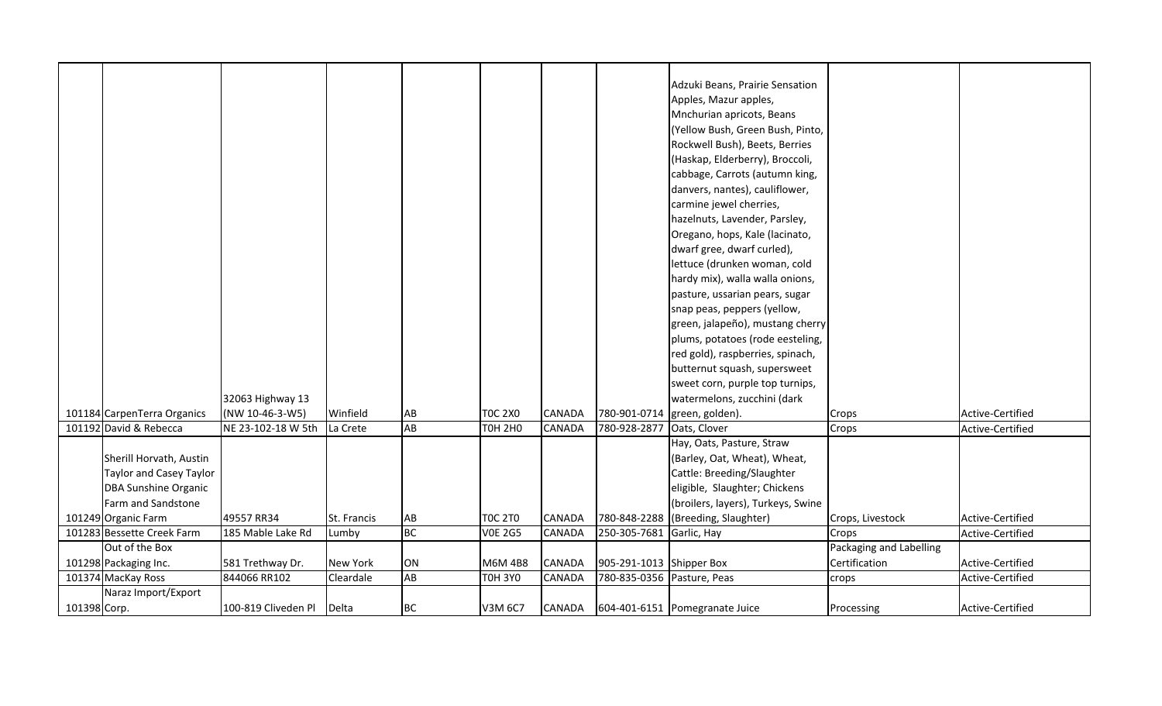|              |                                |                           |             |           |                |               |                            | Adzuki Beans, Prairie Sensation    |                         |                  |
|--------------|--------------------------------|---------------------------|-------------|-----------|----------------|---------------|----------------------------|------------------------------------|-------------------------|------------------|
|              |                                |                           |             |           |                |               |                            | Apples, Mazur apples,              |                         |                  |
|              |                                |                           |             |           |                |               |                            | Mnchurian apricots, Beans          |                         |                  |
|              |                                |                           |             |           |                |               |                            | (Yellow Bush, Green Bush, Pinto,   |                         |                  |
|              |                                |                           |             |           |                |               |                            | Rockwell Bush), Beets, Berries     |                         |                  |
|              |                                |                           |             |           |                |               |                            | (Haskap, Elderberry), Broccoli,    |                         |                  |
|              |                                |                           |             |           |                |               |                            | cabbage, Carrots (autumn king,     |                         |                  |
|              |                                |                           |             |           |                |               |                            |                                    |                         |                  |
|              |                                |                           |             |           |                |               |                            | danvers, nantes), cauliflower,     |                         |                  |
|              |                                |                           |             |           |                |               |                            | carmine jewel cherries,            |                         |                  |
|              |                                |                           |             |           |                |               |                            | hazelnuts, Lavender, Parsley,      |                         |                  |
|              |                                |                           |             |           |                |               |                            | Oregano, hops, Kale (lacinato,     |                         |                  |
|              |                                |                           |             |           |                |               |                            | dwarf gree, dwarf curled),         |                         |                  |
|              |                                |                           |             |           |                |               |                            | lettuce (drunken woman, cold       |                         |                  |
|              |                                |                           |             |           |                |               |                            | hardy mix), walla walla onions,    |                         |                  |
|              |                                |                           |             |           |                |               |                            | pasture, ussarian pears, sugar     |                         |                  |
|              |                                |                           |             |           |                |               |                            | snap peas, peppers (yellow,        |                         |                  |
|              |                                |                           |             |           |                |               |                            | green, jalapeño), mustang cherry   |                         |                  |
|              |                                |                           |             |           |                |               |                            | plums, potatoes (rode eesteling,   |                         |                  |
|              |                                |                           |             |           |                |               |                            | red gold), raspberries, spinach,   |                         |                  |
|              |                                |                           |             |           |                |               |                            | butternut squash, supersweet       |                         |                  |
|              |                                |                           |             |           |                |               |                            | sweet corn, purple top turnips,    |                         |                  |
|              |                                | 32063 Highway 13          |             |           |                |               |                            | watermelons, zucchini (dark        |                         |                  |
|              | 101184 CarpenTerra Organics    | (NW 10-46-3-W5)           | Winfield    | AB        | <b>TOC 2X0</b> | <b>CANADA</b> | 780-901-0714               | green, golden).                    | Crops                   | Active-Certified |
|              | 101192 David & Rebecca         | NE 23-102-18 W 5th        | La Crete    | AB        | <b>TOH 2H0</b> | CANADA        | 780-928-2877               | Oats, Clover                       | Crops                   | Active-Certified |
|              |                                |                           |             |           |                |               |                            | Hay, Oats, Pasture, Straw          |                         |                  |
|              | Sherill Horvath, Austin        |                           |             |           |                |               |                            | (Barley, Oat, Wheat), Wheat,       |                         |                  |
|              | <b>Taylor and Casey Taylor</b> |                           |             |           |                |               |                            | Cattle: Breeding/Slaughter         |                         |                  |
|              | <b>DBA Sunshine Organic</b>    |                           |             |           |                |               |                            | eligible, Slaughter; Chickens      |                         |                  |
|              | Farm and Sandstone             |                           |             |           |                |               |                            | (broilers, layers), Turkeys, Swine |                         |                  |
|              | 101249 Organic Farm            | 49557 RR34                | St. Francis | AB        | <b>TOC 2TO</b> | <b>CANADA</b> |                            | 780-848-2288 (Breeding, Slaughter) | Crops, Livestock        | Active-Certified |
|              | 101283 Bessette Creek Farm     | 185 Mable Lake Rd         | Lumby       | <b>BC</b> | <b>VOE 2G5</b> | <b>CANADA</b> | 250-305-7681               | Garlic, Hay                        | Crops                   | Active-Certified |
|              | Out of the Box                 |                           |             |           |                |               |                            |                                    | Packaging and Labelling |                  |
|              | 101298 Packaging Inc.          | 581 Trethway Dr.          | New York    | ON        | M6M 4B8        | <b>CANADA</b> | 905-291-1013 Shipper Box   |                                    | Certification           | Active-Certified |
|              | 101374 MacKay Ross             | 844066 RR102              | Cleardale   | AB        | <b>TOH 3YO</b> | <b>CANADA</b> | 780-835-0356 Pasture, Peas |                                    | crops                   | Active-Certified |
|              | Naraz Import/Export            |                           |             |           |                |               |                            |                                    |                         |                  |
| 101398 Corp. |                                | 100-819 Cliveden Pl Delta |             | BC        | V3M 6C7        | CANADA        |                            | 604-401-6151 Pomegranate Juice     | Processing              | Active-Certified |
|              |                                |                           |             |           |                |               |                            |                                    |                         |                  |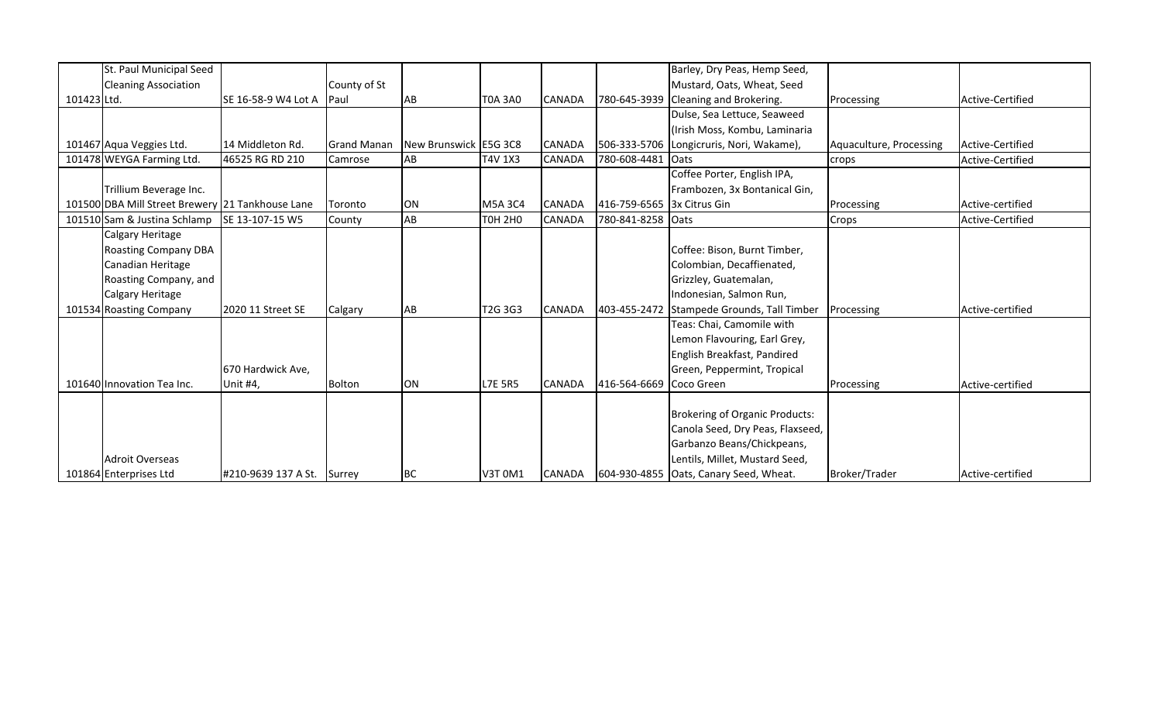|             | St. Paul Municipal Seed                          |                            |                    |                       |                                  |               |                   | Barley, Dry Peas, Hemp Seed,           |                         |                  |
|-------------|--------------------------------------------------|----------------------------|--------------------|-----------------------|----------------------------------|---------------|-------------------|----------------------------------------|-------------------------|------------------|
|             | <b>Cleaning Association</b>                      |                            | County of St       |                       |                                  |               |                   | Mustard, Oats, Wheat, Seed             |                         |                  |
| 101423 Ltd. |                                                  | SE 16-58-9 W4 Lot A        | Paul               | AB                    | <b>T0A 3A0</b>                   | <b>CANADA</b> | 780-645-3939      | Cleaning and Brokering.                | Processing              | Active-Certified |
|             |                                                  |                            |                    |                       |                                  |               |                   | Dulse, Sea Lettuce, Seaweed            |                         |                  |
|             |                                                  |                            |                    |                       |                                  |               |                   | (Irish Moss, Kombu, Laminaria          |                         |                  |
|             | 101467 Aqua Veggies Ltd.                         | 14 Middleton Rd.           | <b>Grand Manan</b> | New Brunswick E5G 3C8 |                                  | <b>CANADA</b> | 506-333-5706      | Longicruris, Nori, Wakame),            | Aquaculture, Processing | Active-Certified |
|             | 101478 WEYGA Farming Ltd.                        | 46525 RG RD 210            | Camrose            | AB                    | T4V 1X3                          | <b>CANADA</b> | 780-608-4481      | Oats                                   | crops                   | Active-Certified |
|             |                                                  |                            |                    |                       |                                  |               |                   | Coffee Porter, English IPA,            |                         |                  |
|             | Trillium Beverage Inc.                           |                            |                    |                       |                                  |               |                   | Frambozen, 3x Bontanical Gin,          |                         |                  |
|             | 101500 DBA Mill Street Brewery 21 Tankhouse Lane |                            | Toronto            | <b>ON</b>             | M5A 3C4                          | <b>CANADA</b> | 416-759-6565      | 3x Citrus Gin                          | Processing              | Active-certified |
|             | 101510 Sam & Justina Schlamp                     | ISE 13-107-15 W5           | County             | AB                    | <b>TOH 2HO</b>                   | CANADA        | 780-841-8258 Oats |                                        | Crops                   | Active-Certified |
|             | Calgary Heritage                                 |                            |                    |                       |                                  |               |                   |                                        |                         |                  |
|             | <b>Roasting Company DBA</b>                      |                            |                    |                       |                                  |               |                   | Coffee: Bison, Burnt Timber,           |                         |                  |
|             | Canadian Heritage                                |                            |                    |                       |                                  |               |                   | Colombian, Decaffienated,              |                         |                  |
|             | Roasting Company, and                            |                            |                    |                       |                                  |               |                   | Grizzley, Guatemalan,                  |                         |                  |
|             | Calgary Heritage                                 |                            |                    |                       |                                  |               |                   | Indonesian, Salmon Run,                |                         |                  |
|             | 101534 Roasting Company                          | 2020 11 Street SE          | Calgary            | AB                    | T <sub>2</sub> G 3G <sub>3</sub> | <b>CANADA</b> | 403-455-2472      | Stampede Grounds, Tall Timber          | Processing              | Active-certified |
|             |                                                  |                            |                    |                       |                                  |               |                   | Teas: Chai, Camomile with              |                         |                  |
|             |                                                  |                            |                    |                       |                                  |               |                   | Lemon Flavouring, Earl Grey,           |                         |                  |
|             |                                                  |                            |                    |                       |                                  |               |                   | English Breakfast, Pandired            |                         |                  |
|             |                                                  | 670 Hardwick Ave,          |                    |                       |                                  |               |                   | Green, Peppermint, Tropical            |                         |                  |
|             | 101640 Innovation Tea Inc.                       | Unit #4,                   | <b>Bolton</b>      | ON                    | <b>L7E 5R5</b>                   | <b>CANADA</b> | 416-564-6669      | Coco Green                             | Processing              | Active-certified |
|             |                                                  |                            |                    |                       |                                  |               |                   |                                        |                         |                  |
|             |                                                  |                            |                    |                       |                                  |               |                   | <b>Brokering of Organic Products:</b>  |                         |                  |
|             |                                                  |                            |                    |                       |                                  |               |                   | Canola Seed, Dry Peas, Flaxseed,       |                         |                  |
|             |                                                  |                            |                    |                       |                                  |               |                   | Garbanzo Beans/Chickpeans,             |                         |                  |
|             | <b>Adroit Overseas</b>                           |                            |                    |                       |                                  |               |                   | Lentils, Millet, Mustard Seed,         |                         |                  |
|             | 101864 Enterprises Ltd                           | #210-9639 137 A St. Surrey |                    | <b>BC</b>             | <b>V3T 0M1</b>                   | CANADA        |                   | 604-930-4855 Oats, Canary Seed, Wheat. | Broker/Trader           | Active-certified |